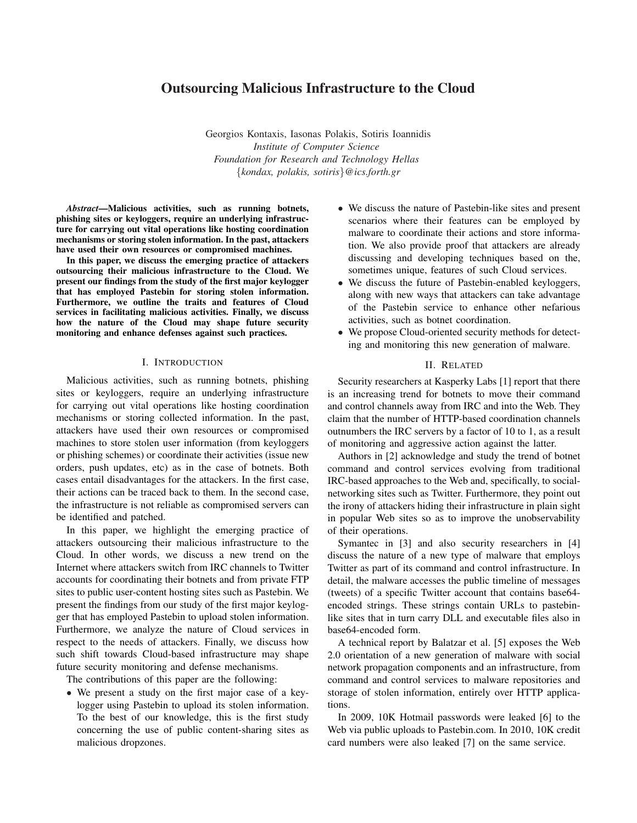# Outsourcing Malicious Infrastructure to the Cloud

Georgios Kontaxis, Iasonas Polakis, Sotiris Ioannidis *Institute of Computer Science Foundation for Research and Technology Hellas* {*kondax, polakis, sotiris*}*@ics.forth.gr*

*Abstract*—Malicious activities, such as running botnets, phishing sites or keyloggers, require an underlying infrastructure for carrying out vital operations like hosting coordination mechanisms or storing stolen information. In the past, attackers have used their own resources or compromised machines.

In this paper, we discuss the emerging practice of attackers outsourcing their malicious infrastructure to the Cloud. We present our findings from the study of the first major keylogger that has employed Pastebin for storing stolen information. Furthermore, we outline the traits and features of Cloud services in facilitating malicious activities. Finally, we discuss how the nature of the Cloud may shape future security monitoring and enhance defenses against such practices.

#### I. INTRODUCTION

Malicious activities, such as running botnets, phishing sites or keyloggers, require an underlying infrastructure for carrying out vital operations like hosting coordination mechanisms or storing collected information. In the past, attackers have used their own resources or compromised machines to store stolen user information (from keyloggers or phishing schemes) or coordinate their activities (issue new orders, push updates, etc) as in the case of botnets. Both cases entail disadvantages for the attackers. In the first case, their actions can be traced back to them. In the second case, the infrastructure is not reliable as compromised servers can be identified and patched.

In this paper, we highlight the emerging practice of attackers outsourcing their malicious infrastructure to the Cloud. In other words, we discuss a new trend on the Internet where attackers switch from IRC channels to Twitter accounts for coordinating their botnets and from private FTP sites to public user-content hosting sites such as Pastebin. We present the findings from our study of the first major keylogger that has employed Pastebin to upload stolen information. Furthermore, we analyze the nature of Cloud services in respect to the needs of attackers. Finally, we discuss how such shift towards Cloud-based infrastructure may shape future security monitoring and defense mechanisms.

The contributions of this paper are the following:

• We present a study on the first major case of a keylogger using Pastebin to upload its stolen information. To the best of our knowledge, this is the first study concerning the use of public content-sharing sites as malicious dropzones.

- We discuss the nature of Pastebin-like sites and present scenarios where their features can be employed by malware to coordinate their actions and store information. We also provide proof that attackers are already discussing and developing techniques based on the, sometimes unique, features of such Cloud services.
- We discuss the future of Pastebin-enabled keyloggers, along with new ways that attackers can take advantage of the Pastebin service to enhance other nefarious activities, such as botnet coordination.
- We propose Cloud-oriented security methods for detecting and monitoring this new generation of malware.

#### II. RELATED

Security researchers at Kasperky Labs [1] report that there is an increasing trend for botnets to move their command and control channels away from IRC and into the Web. They claim that the number of HTTP-based coordination channels outnumbers the IRC servers by a factor of 10 to 1, as a result of monitoring and aggressive action against the latter.

Authors in [2] acknowledge and study the trend of botnet command and control services evolving from traditional IRC-based approaches to the Web and, specifically, to socialnetworking sites such as Twitter. Furthermore, they point out the irony of attackers hiding their infrastructure in plain sight in popular Web sites so as to improve the unobservability of their operations.

Symantec in [3] and also security researchers in [4] discuss the nature of a new type of malware that employs Twitter as part of its command and control infrastructure. In detail, the malware accesses the public timeline of messages (tweets) of a specific Twitter account that contains base64 encoded strings. These strings contain URLs to pastebinlike sites that in turn carry DLL and executable files also in base64-encoded form.

A technical report by Balatzar et al. [5] exposes the Web 2.0 orientation of a new generation of malware with social network propagation components and an infrastructure, from command and control services to malware repositories and storage of stolen information, entirely over HTTP applications.

In 2009, 10K Hotmail passwords were leaked [6] to the Web via public uploads to Pastebin.com. In 2010, 10K credit card numbers were also leaked [7] on the same service.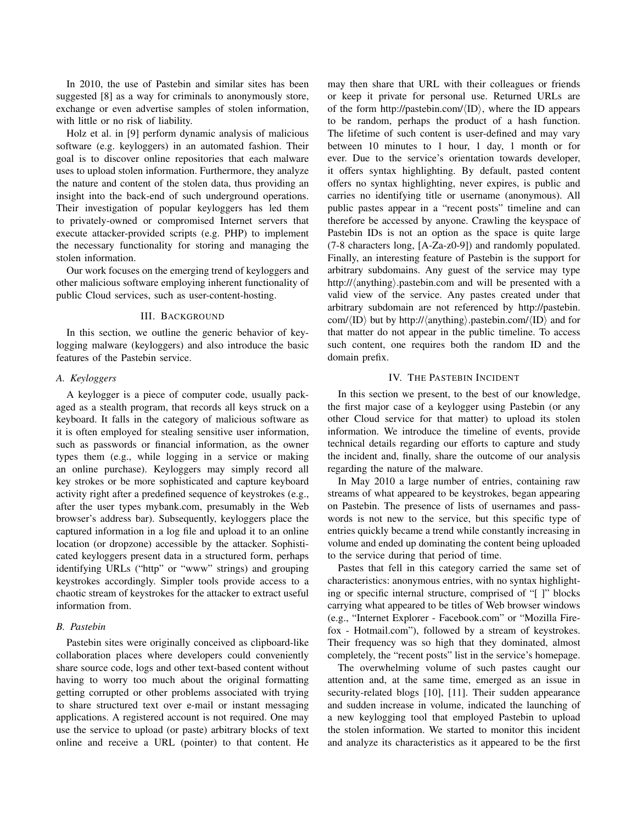In 2010, the use of Pastebin and similar sites has been suggested [8] as a way for criminals to anonymously store, exchange or even advertise samples of stolen information, with little or no risk of liability.

Holz et al. in [9] perform dynamic analysis of malicious software (e.g. keyloggers) in an automated fashion. Their goal is to discover online repositories that each malware uses to upload stolen information. Furthermore, they analyze the nature and content of the stolen data, thus providing an insight into the back-end of such underground operations. Their investigation of popular keyloggers has led them to privately-owned or compromised Internet servers that execute attacker-provided scripts (e.g. PHP) to implement the necessary functionality for storing and managing the stolen information.

Our work focuses on the emerging trend of keyloggers and other malicious software employing inherent functionality of public Cloud services, such as user-content-hosting.

# III. BACKGROUND

In this section, we outline the generic behavior of keylogging malware (keyloggers) and also introduce the basic features of the Pastebin service.

# *A. Keyloggers*

A keylogger is a piece of computer code, usually packaged as a stealth program, that records all keys struck on a keyboard. It falls in the category of malicious software as it is often employed for stealing sensitive user information, such as passwords or financial information, as the owner types them (e.g., while logging in a service or making an online purchase). Keyloggers may simply record all key strokes or be more sophisticated and capture keyboard activity right after a predefined sequence of keystrokes (e.g., after the user types mybank.com, presumably in the Web browser's address bar). Subsequently, keyloggers place the captured information in a log file and upload it to an online location (or dropzone) accessible by the attacker. Sophisticated keyloggers present data in a structured form, perhaps identifying URLs ("http" or "www" strings) and grouping keystrokes accordingly. Simpler tools provide access to a chaotic stream of keystrokes for the attacker to extract useful information from.

### *B. Pastebin*

Pastebin sites were originally conceived as clipboard-like collaboration places where developers could conveniently share source code, logs and other text-based content without having to worry too much about the original formatting getting corrupted or other problems associated with trying to share structured text over e-mail or instant messaging applications. A registered account is not required. One may use the service to upload (or paste) arbitrary blocks of text online and receive a URL (pointer) to that content. He may then share that URL with their colleagues or friends or keep it private for personal use. Returned URLs are of the form http://pastebin.com/ $\langle$ ID $\rangle$ , where the ID appears to be random, perhaps the product of a hash function. The lifetime of such content is user-defined and may vary between 10 minutes to 1 hour, 1 day, 1 month or for ever. Due to the service's orientation towards developer, it offers syntax highlighting. By default, pasted content offers no syntax highlighting, never expires, is public and carries no identifying title or username (anonymous). All public pastes appear in a "recent posts" timeline and can therefore be accessed by anyone. Crawling the keyspace of Pastebin IDs is not an option as the space is quite large (7-8 characters long, [A-Za-z0-9]) and randomly populated. Finally, an interesting feature of Pastebin is the support for arbitrary subdomains. Any guest of the service may type http:// $\langle$ anything $\rangle$ .pastebin.com and will be presented with a valid view of the service. Any pastes created under that arbitrary subdomain are not referenced by http://pastebin. com/ $\langle$ ID $\rangle$  but by http:// $\langle$ anything $\rangle$ .pastebin.com/ $\langle$ ID $\rangle$  and for that matter do not appear in the public timeline. To access such content, one requires both the random ID and the domain prefix.

#### IV. THE PASTEBIN INCIDENT

In this section we present, to the best of our knowledge, the first major case of a keylogger using Pastebin (or any other Cloud service for that matter) to upload its stolen information. We introduce the timeline of events, provide technical details regarding our efforts to capture and study the incident and, finally, share the outcome of our analysis regarding the nature of the malware.

In May 2010 a large number of entries, containing raw streams of what appeared to be keystrokes, began appearing on Pastebin. The presence of lists of usernames and passwords is not new to the service, but this specific type of entries quickly became a trend while constantly increasing in volume and ended up dominating the content being uploaded to the service during that period of time.

Pastes that fell in this category carried the same set of characteristics: anonymous entries, with no syntax highlighting or specific internal structure, comprised of "[ ]" blocks carrying what appeared to be titles of Web browser windows (e.g., "Internet Explorer - Facebook.com" or "Mozilla Firefox - Hotmail.com"), followed by a stream of keystrokes. Their frequency was so high that they dominated, almost completely, the "recent posts" list in the service's homepage.

The overwhelming volume of such pastes caught our attention and, at the same time, emerged as an issue in security-related blogs [10], [11]. Their sudden appearance and sudden increase in volume, indicated the launching of a new keylogging tool that employed Pastebin to upload the stolen information. We started to monitor this incident and analyze its characteristics as it appeared to be the first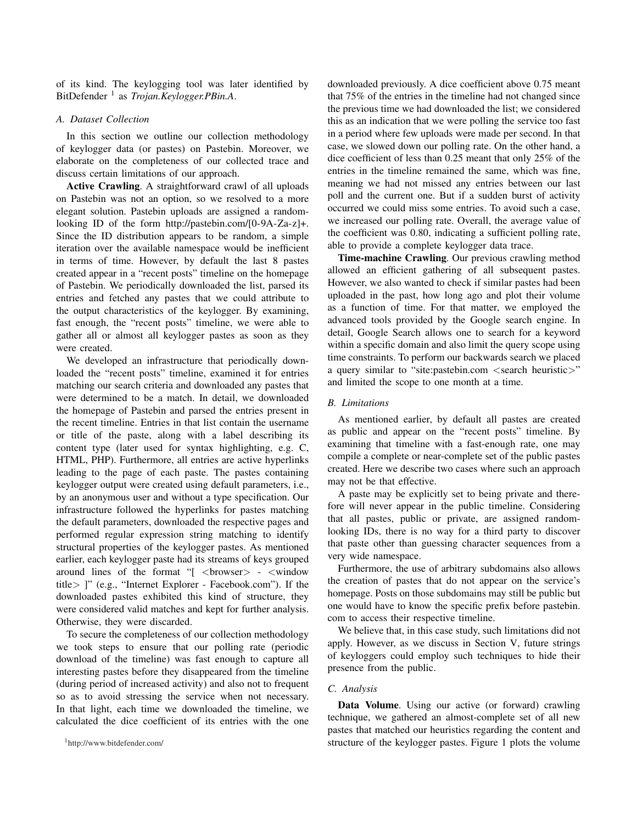of its kind. The keylogging tool was later identified by BitDefender <sup>1</sup> as *Trojan.Keylogger.PBin.A*.

# *A. Dataset Collection*

In this section we outline our collection methodology of keylogger data (or pastes) on Pastebin. Moreover, we elaborate on the completeness of our collected trace and discuss certain limitations of our approach.

Active Crawling. A straightforward crawl of all uploads on Pastebin was not an option, so we resolved to a more elegant solution. Pastebin uploads are assigned a randomlooking ID of the form http://pastebin.com/[0-9A-Za-z]+. Since the ID distribution appears to be random, a simple iteration over the available namespace would be inefficient in terms of time. However, by default the last 8 pastes created appear in a "recent posts" timeline on the homepage of Pastebin. We periodically downloaded the list, parsed its entries and fetched any pastes that we could attribute to the output characteristics of the keylogger. By examining, fast enough, the "recent posts" timeline, we were able to gather all or almost all keylogger pastes as soon as they were created.

We developed an infrastructure that periodically downloaded the "recent posts" timeline, examined it for entries matching our search criteria and downloaded any pastes that were determined to be a match. In detail, we downloaded the homepage of Pastebin and parsed the entries present in the recent timeline. Entries in that list contain the username or title of the paste, along with a label describing its content type (later used for syntax highlighting, e.g. C, HTML, PHP). Furthermore, all entries are active hyperlinks leading to the page of each paste. The pastes containing keylogger output were created using default parameters, i.e., by an anonymous user and without a type specification. Our infrastructure followed the hyperlinks for pastes matching the default parameters, downloaded the respective pages and performed regular expression string matching to identify structural properties of the keylogger pastes. As mentioned earlier, each keylogger paste had its streams of keys grouped around lines of the format "[ <br/>browser> - <window title> ]" (e.g., "Internet Explorer - Facebook.com"). If the downloaded pastes exhibited this kind of structure, they were considered valid matches and kept for further analysis. Otherwise, they were discarded.

To secure the completeness of our collection methodology we took steps to ensure that our polling rate (periodic download of the timeline) was fast enough to capture all interesting pastes before they disappeared from the timeline (during period of increased activity) and also not to frequent so as to avoid stressing the service when not necessary. In that light, each time we downloaded the timeline, we calculated the dice coefficient of its entries with the one downloaded previously. A dice coefficient above 0.75 meant that 75% of the entries in the timeline had not changed since the previous time we had downloaded the list; we considered this as an indication that we were polling the service too fast in a period where few uploads were made per second. In that case, we slowed down our polling rate. On the other hand, a dice coefficient of less than 0.25 meant that only 25% of the entries in the timeline remained the same, which was fine, meaning we had not missed any entries between our last poll and the current one. But if a sudden burst of activity occurred we could miss some entries. To avoid such a case, we increased our polling rate. Overall, the average value of the coefficient was 0.80, indicating a sufficient polling rate, able to provide a complete keylogger data trace.

Time-machine Crawling. Our previous crawling method allowed an efficient gathering of all subsequent pastes. However, we also wanted to check if similar pastes had been uploaded in the past, how long ago and plot their volume as a function of time. For that matter, we employed the advanced tools provided by the Google search engine. In detail, Google Search allows one to search for a keyword within a specific domain and also limit the query scope using time constraints. To perform our backwards search we placed a query similar to "site:pastebin.com <search heuristic>" and limited the scope to one month at a time.

### *B. Limitations*

As mentioned earlier, by default all pastes are created as public and appear on the "recent posts" timeline. By examining that timeline with a fast-enough rate, one may compile a complete or near-complete set of the public pastes created. Here we describe two cases where such an approach may not be that effective.

A paste may be explicitly set to being private and therefore will never appear in the public timeline. Considering that all pastes, public or private, are assigned randomlooking IDs, there is no way for a third party to discover that paste other than guessing character sequences from a very wide namespace.

Furthermore, the use of arbitrary subdomains also allows the creation of pastes that do not appear on the service's homepage. Posts on those subdomains may still be public but one would have to know the specific prefix before pastebin. com to access their respective timeline.

We believe that, in this case study, such limitations did not apply. However, as we discuss in Section V, future strings of keyloggers could employ such techniques to hide their presence from the public.

### *C. Analysis*

Data Volume. Using our active (or forward) crawling technique, we gathered an almost-complete set of all new pastes that matched our heuristics regarding the content and structure of the keylogger pastes. Figure 1 plots the volume

<sup>1</sup>http://www.bitdefender.com/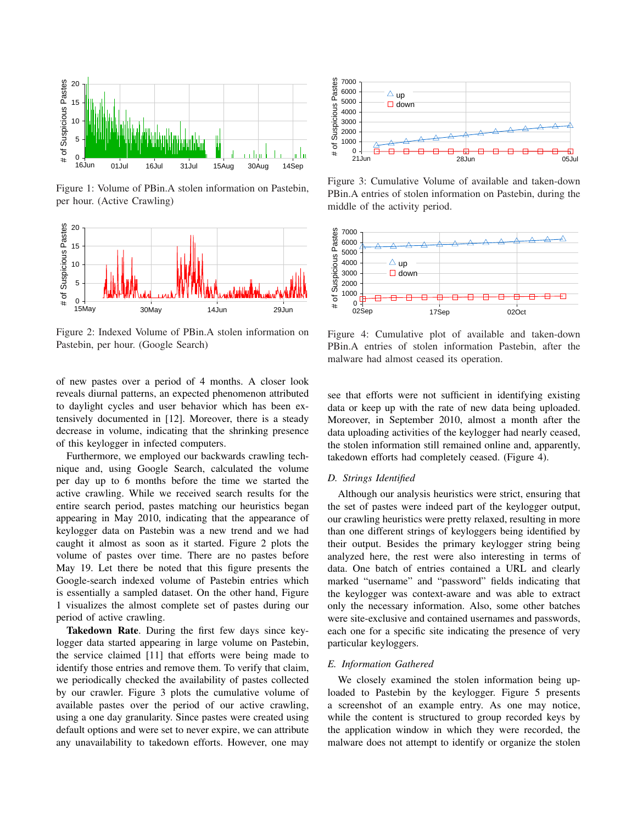

Figure 1: Volume of PBin.A stolen information on Pastebin, per hour. (Active Crawling)



Figure 2: Indexed Volume of PBin.A stolen information on Pastebin, per hour. (Google Search)

of new pastes over a period of 4 months. A closer look reveals diurnal patterns, an expected phenomenon attributed to daylight cycles and user behavior which has been extensively documented in [12]. Moreover, there is a steady decrease in volume, indicating that the shrinking presence of this keylogger in infected computers.

Furthermore, we employed our backwards crawling technique and, using Google Search, calculated the volume per day up to 6 months before the time we started the active crawling. While we received search results for the entire search period, pastes matching our heuristics began appearing in May 2010, indicating that the appearance of keylogger data on Pastebin was a new trend and we had caught it almost as soon as it started. Figure 2 plots the volume of pastes over time. There are no pastes before May 19. Let there be noted that this figure presents the Google-search indexed volume of Pastebin entries which is essentially a sampled dataset. On the other hand, Figure 1 visualizes the almost complete set of pastes during our period of active crawling.

Takedown Rate. During the first few days since keylogger data started appearing in large volume on Pastebin, the service claimed [11] that efforts were being made to identify those entries and remove them. To verify that claim, we periodically checked the availability of pastes collected by our crawler. Figure 3 plots the cumulative volume of available pastes over the period of our active crawling, using a one day granularity. Since pastes were created using default options and were set to never expire, we can attribute any unavailability to takedown efforts. However, one may



Figure 3: Cumulative Volume of available and taken-down PBin.A entries of stolen information on Pastebin, during the middle of the activity period.



Figure 4: Cumulative plot of available and taken-down PBin.A entries of stolen information Pastebin, after the malware had almost ceased its operation.

see that efforts were not sufficient in identifying existing data or keep up with the rate of new data being uploaded. Moreover, in September 2010, almost a month after the data uploading activities of the keylogger had nearly ceased, the stolen information still remained online and, apparently, takedown efforts had completely ceased. (Figure 4).

# *D. Strings Identified*

Although our analysis heuristics were strict, ensuring that the set of pastes were indeed part of the keylogger output, our crawling heuristics were pretty relaxed, resulting in more than one different strings of keyloggers being identified by their output. Besides the primary keylogger string being analyzed here, the rest were also interesting in terms of data. One batch of entries contained a URL and clearly marked "username" and "password" fields indicating that the keylogger was context-aware and was able to extract only the necessary information. Also, some other batches were site-exclusive and contained usernames and passwords, each one for a specific site indicating the presence of very particular keyloggers.

### *E. Information Gathered*

We closely examined the stolen information being uploaded to Pastebin by the keylogger. Figure 5 presents a screenshot of an example entry. As one may notice, while the content is structured to group recorded keys by the application window in which they were recorded, the malware does not attempt to identify or organize the stolen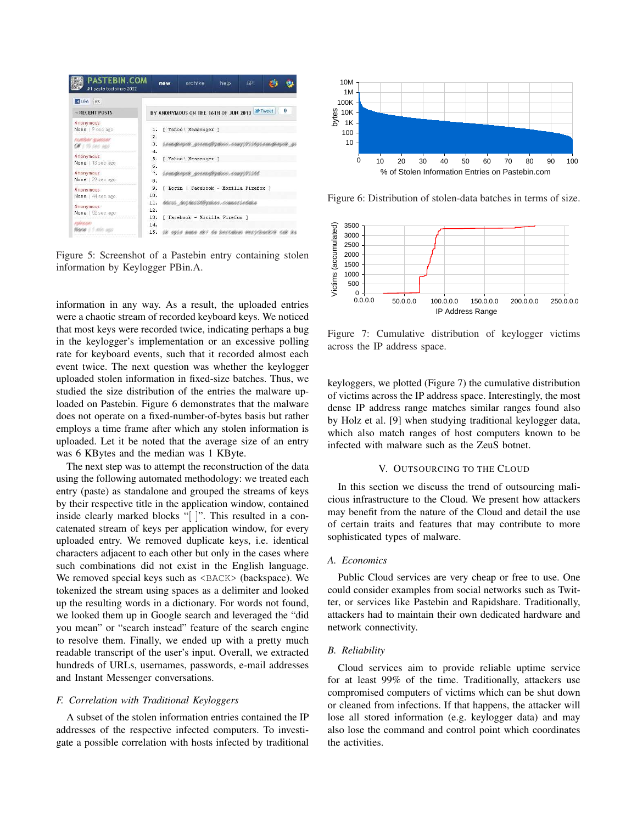

Figure 5: Screenshot of a Pastebin entry containing stolen information by Keylogger PBin.A.

information in any way. As a result, the uploaded entries were a chaotic stream of recorded keyboard keys. We noticed that most keys were recorded twice, indicating perhaps a bug in the keylogger's implementation or an excessive polling rate for keyboard events, such that it recorded almost each event twice. The next question was whether the keylogger uploaded stolen information in fixed-size batches. Thus, we studied the size distribution of the entries the malware uploaded on Pastebin. Figure 6 demonstrates that the malware does not operate on a fixed-number-of-bytes basis but rather employs a time frame after which any stolen information is uploaded. Let it be noted that the average size of an entry was 6 KBytes and the median was 1 KByte.

The next step was to attempt the reconstruction of the data using the following automated methodology: we treated each entry (paste) as standalone and grouped the streams of keys by their respective title in the application window, contained inside clearly marked blocks "[ ]". This resulted in a concatenated stream of keys per application window, for every uploaded entry. We removed duplicate keys, i.e. identical characters adjacent to each other but only in the cases where such combinations did not exist in the English language. We removed special keys such as <BACK> (backspace). We tokenized the stream using spaces as a delimiter and looked up the resulting words in a dictionary. For words not found, we looked them up in Google search and leveraged the "did you mean" or "search instead" feature of the search engine to resolve them. Finally, we ended up with a pretty much readable transcript of the user's input. Overall, we extracted hundreds of URLs, usernames, passwords, e-mail addresses and Instant Messenger conversations.

# *F. Correlation with Traditional Keyloggers*

A subset of the stolen information entries contained the IP addresses of the respective infected computers. To investigate a possible correlation with hosts infected by traditional



Figure 6: Distribution of stolen-data batches in terms of size.



Figure 7: Cumulative distribution of keylogger victims across the IP address space.

keyloggers, we plotted (Figure 7) the cumulative distribution of victims across the IP address space. Interestingly, the most dense IP address range matches similar ranges found also by Holz et al. [9] when studying traditional keylogger data, which also match ranges of host computers known to be infected with malware such as the ZeuS botnet.

#### V. OUTSOURCING TO THE CLOUD

In this section we discuss the trend of outsourcing malicious infrastructure to the Cloud. We present how attackers may benefit from the nature of the Cloud and detail the use of certain traits and features that may contribute to more sophisticated types of malware.

### *A. Economics*

Public Cloud services are very cheap or free to use. One could consider examples from social networks such as Twitter, or services like Pastebin and Rapidshare. Traditionally, attackers had to maintain their own dedicated hardware and network connectivity.

# *B. Reliability*

Cloud services aim to provide reliable uptime service for at least 99% of the time. Traditionally, attackers use compromised computers of victims which can be shut down or cleaned from infections. If that happens, the attacker will lose all stored information (e.g. keylogger data) and may also lose the command and control point which coordinates the activities.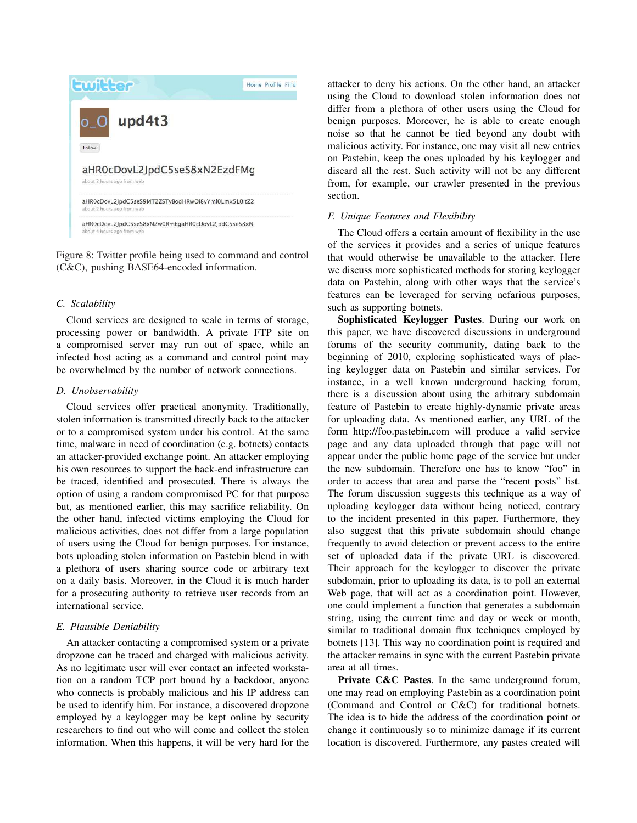

Figure 8: Twitter profile being used to command and control (C&C), pushing BASE64-encoded information.

# *C. Scalability*

Cloud services are designed to scale in terms of storage, processing power or bandwidth. A private FTP site on a compromised server may run out of space, while an infected host acting as a command and control point may be overwhelmed by the number of network connections.

#### *D. Unobservability*

Cloud services offer practical anonymity. Traditionally, stolen information is transmitted directly back to the attacker or to a compromised system under his control. At the same time, malware in need of coordination (e.g. botnets) contacts an attacker-provided exchange point. An attacker employing his own resources to support the back-end infrastructure can be traced, identified and prosecuted. There is always the option of using a random compromised PC for that purpose but, as mentioned earlier, this may sacrifice reliability. On the other hand, infected victims employing the Cloud for malicious activities, does not differ from a large population of users using the Cloud for benign purposes. For instance, bots uploading stolen information on Pastebin blend in with a plethora of users sharing source code or arbitrary text on a daily basis. Moreover, in the Cloud it is much harder for a prosecuting authority to retrieve user records from an international service.

### *E. Plausible Deniability*

An attacker contacting a compromised system or a private dropzone can be traced and charged with malicious activity. As no legitimate user will ever contact an infected workstation on a random TCP port bound by a backdoor, anyone who connects is probably malicious and his IP address can be used to identify him. For instance, a discovered dropzone employed by a keylogger may be kept online by security researchers to find out who will come and collect the stolen information. When this happens, it will be very hard for the attacker to deny his actions. On the other hand, an attacker using the Cloud to download stolen information does not differ from a plethora of other users using the Cloud for benign purposes. Moreover, he is able to create enough noise so that he cannot be tied beyond any doubt with malicious activity. For instance, one may visit all new entries on Pastebin, keep the ones uploaded by his keylogger and discard all the rest. Such activity will not be any different from, for example, our crawler presented in the previous section.

#### *F. Unique Features and Flexibility*

The Cloud offers a certain amount of flexibility in the use of the services it provides and a series of unique features that would otherwise be unavailable to the attacker. Here we discuss more sophisticated methods for storing keylogger data on Pastebin, along with other ways that the service's features can be leveraged for serving nefarious purposes, such as supporting botnets.

Sophisticated Keylogger Pastes. During our work on this paper, we have discovered discussions in underground forums of the security community, dating back to the beginning of 2010, exploring sophisticated ways of placing keylogger data on Pastebin and similar services. For instance, in a well known underground hacking forum, there is a discussion about using the arbitrary subdomain feature of Pastebin to create highly-dynamic private areas for uploading data. As mentioned earlier, any URL of the form http://foo.pastebin.com will produce a valid service page and any data uploaded through that page will not appear under the public home page of the service but under the new subdomain. Therefore one has to know "foo" in order to access that area and parse the "recent posts" list. The forum discussion suggests this technique as a way of uploading keylogger data without being noticed, contrary to the incident presented in this paper. Furthermore, they also suggest that this private subdomain should change frequently to avoid detection or prevent access to the entire set of uploaded data if the private URL is discovered. Their approach for the keylogger to discover the private subdomain, prior to uploading its data, is to poll an external Web page, that will act as a coordination point. However, one could implement a function that generates a subdomain string, using the current time and day or week or month, similar to traditional domain flux techniques employed by botnets [13]. This way no coordination point is required and the attacker remains in sync with the current Pastebin private area at all times.

Private C&C Pastes. In the same underground forum, one may read on employing Pastebin as a coordination point (Command and Control or C&C) for traditional botnets. The idea is to hide the address of the coordination point or change it continuously so to minimize damage if its current location is discovered. Furthermore, any pastes created will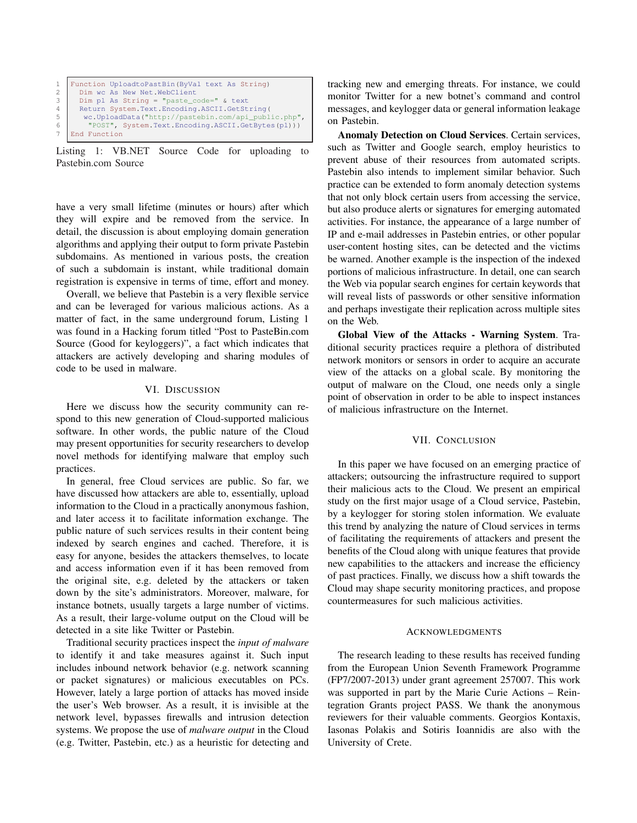```
1 Function UploadtoPastBin(ByVal text As String)
2 Dim wc As New Net. WebClient<br>3 Dim pl As String = "paste c
     Dim pl As String = "paste_code=" & text
4 Return System.Text.Encoding.ASCII.GetString(
5 wc.UploadData("http://pastebin.com/api_public.php",
6 "POST", System.Text.Encoding.ASCII.GetBytes(pl)))
7 End Function
```
Listing 1: VB.NET Source Code for uploading to Pastebin.com Source

have a very small lifetime (minutes or hours) after which they will expire and be removed from the service. In detail, the discussion is about employing domain generation algorithms and applying their output to form private Pastebin subdomains. As mentioned in various posts, the creation of such a subdomain is instant, while traditional domain registration is expensive in terms of time, effort and money.

Overall, we believe that Pastebin is a very flexible service and can be leveraged for various malicious actions. As a matter of fact, in the same underground forum, Listing 1 was found in a Hacking forum titled "Post to PasteBin.com Source (Good for keyloggers)", a fact which indicates that attackers are actively developing and sharing modules of code to be used in malware.

# VI. DISCUSSION

Here we discuss how the security community can respond to this new generation of Cloud-supported malicious software. In other words, the public nature of the Cloud may present opportunities for security researchers to develop novel methods for identifying malware that employ such practices.

In general, free Cloud services are public. So far, we have discussed how attackers are able to, essentially, upload information to the Cloud in a practically anonymous fashion, and later access it to facilitate information exchange. The public nature of such services results in their content being indexed by search engines and cached. Therefore, it is easy for anyone, besides the attackers themselves, to locate and access information even if it has been removed from the original site, e.g. deleted by the attackers or taken down by the site's administrators. Moreover, malware, for instance botnets, usually targets a large number of victims. As a result, their large-volume output on the Cloud will be detected in a site like Twitter or Pastebin.

Traditional security practices inspect the *input of malware* to identify it and take measures against it. Such input includes inbound network behavior (e.g. network scanning or packet signatures) or malicious executables on PCs. However, lately a large portion of attacks has moved inside the user's Web browser. As a result, it is invisible at the network level, bypasses firewalls and intrusion detection systems. We propose the use of *malware output* in the Cloud (e.g. Twitter, Pastebin, etc.) as a heuristic for detecting and tracking new and emerging threats. For instance, we could monitor Twitter for a new botnet's command and control messages, and keylogger data or general information leakage on Pastebin.

Anomaly Detection on Cloud Services. Certain services, such as Twitter and Google search, employ heuristics to prevent abuse of their resources from automated scripts. Pastebin also intends to implement similar behavior. Such practice can be extended to form anomaly detection systems that not only block certain users from accessing the service, but also produce alerts or signatures for emerging automated activities. For instance, the appearance of a large number of IP and e-mail addresses in Pastebin entries, or other popular user-content hosting sites, can be detected and the victims be warned. Another example is the inspection of the indexed portions of malicious infrastructure. In detail, one can search the Web via popular search engines for certain keywords that will reveal lists of passwords or other sensitive information and perhaps investigate their replication across multiple sites on the Web.

Global View of the Attacks - Warning System. Traditional security practices require a plethora of distributed network monitors or sensors in order to acquire an accurate view of the attacks on a global scale. By monitoring the output of malware on the Cloud, one needs only a single point of observation in order to be able to inspect instances of malicious infrastructure on the Internet.

# VII. CONCLUSION

In this paper we have focused on an emerging practice of attackers; outsourcing the infrastructure required to support their malicious acts to the Cloud. We present an empirical study on the first major usage of a Cloud service, Pastebin, by a keylogger for storing stolen information. We evaluate this trend by analyzing the nature of Cloud services in terms of facilitating the requirements of attackers and present the benefits of the Cloud along with unique features that provide new capabilities to the attackers and increase the efficiency of past practices. Finally, we discuss how a shift towards the Cloud may shape security monitoring practices, and propose countermeasures for such malicious activities.

# ACKNOWLEDGMENTS

The research leading to these results has received funding from the European Union Seventh Framework Programme (FP7/2007-2013) under grant agreement 257007. This work was supported in part by the Marie Curie Actions – Reintegration Grants project PASS. We thank the anonymous reviewers for their valuable comments. Georgios Kontaxis, Iasonas Polakis and Sotiris Ioannidis are also with the University of Crete.